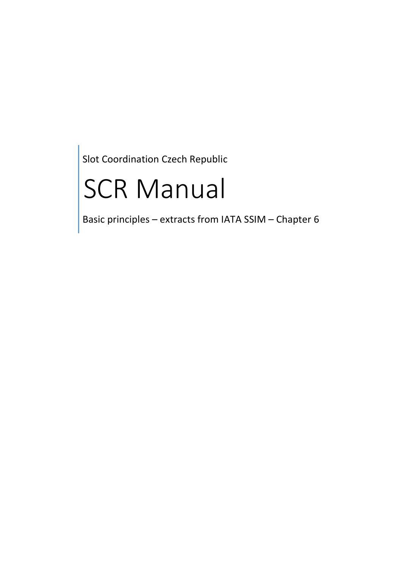Slot Coordination Czech Republic

# SCR Manual

Basic principles – extracts from IATA SSIM – Chapter 6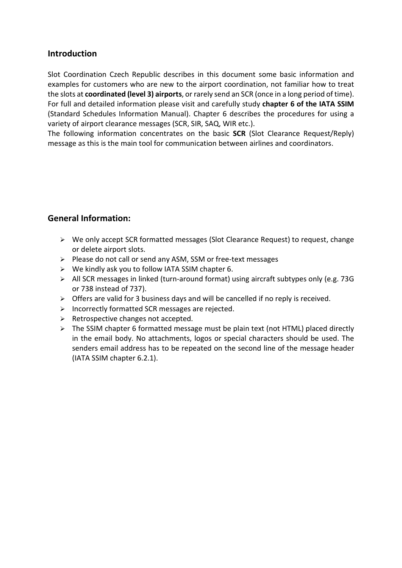## **Introduction**

Slot Coordination Czech Republic describes in this document some basic information and examples for customers who are new to the airport coordination, not familiar how to treat the slots at coordinated (level 3) airports, or rarely send an SCR (once in a long period of time). For full and detailed information please visit and carefully study chapter 6 of the IATA SSIM (Standard Schedules Information Manual). Chapter 6 describes the procedures for using a variety of airport clearance messages (SCR, SIR, SAQ, WIR etc.).

The following information concentrates on the basic SCR (Slot Clearance Request/Reply) message as this is the main tool for communication between airlines and coordinators.

## General Information:

- We only accept SCR formatted messages (Slot Clearance Request) to request, change or delete airport slots.
- Please do not call or send any ASM, SSM or free-text messages
- $\triangleright$  We kindly ask you to follow IATA SSIM chapter 6.
- $\triangleright$  All SCR messages in linked (turn-around format) using aircraft subtypes only (e.g. 73G or 738 instead of 737).
- $\triangleright$  Offers are valid for 3 business days and will be cancelled if no reply is received.
- $\triangleright$  Incorrectly formatted SCR messages are rejected.
- $\triangleright$  Retrospective changes not accepted.
- $\triangleright$  The SSIM chapter 6 formatted message must be plain text (not HTML) placed directly in the email body. No attachments, logos or special characters should be used. The senders email address has to be repeated on the second line of the message header (IATA SSIM chapter 6.2.1).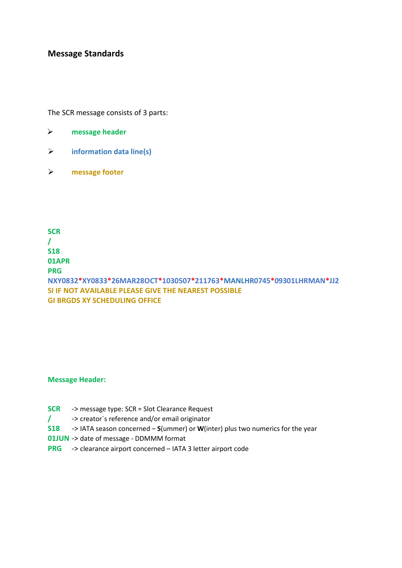## Message Standards

The SCR message consists of 3 parts:

| ≻ | message header |  |
|---|----------------|--|
|   |                |  |

- $\triangleright$  information data line(s)
- message footer

**SCR** / S18 01APR PRG NXY0832\*XY0833\*26MAR28OCT\*1030507\*211763\*MANLHR0745\*09301LHRMAN\*JJ2 SI IF NOT AVAILABLE PLEASE GIVE THE NEAREST POSSIBLE GI BRGDS XY SCHEDULING OFFICE

#### Message Header:

- SCR -> message type: SCR = Slot Clearance Request
- / -> creator´s reference and/or email originator
- $S18$   $\rightarrow$  IATA season concerned S(ummer) or W(inter) plus two numerics for the year
- 01JUN -> date of message DDMMM format
- PRG -> clearance airport concerned IATA 3 letter airport code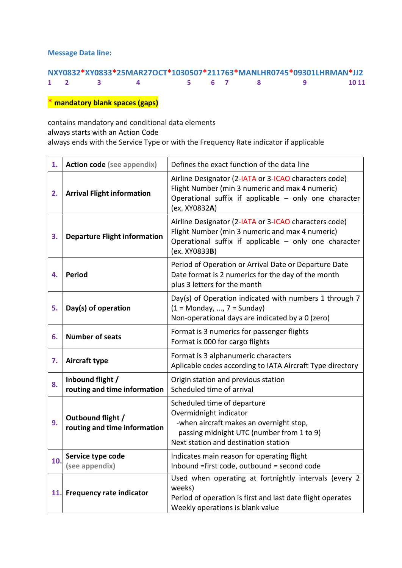Message Data line:

|  |                                                             |  | NXY0832*XY0833*25MAR27OCT*1030507*211763*MANLHR0745*09301LHRMAN*JJ2 |              |
|--|-------------------------------------------------------------|--|---------------------------------------------------------------------|--------------|
|  | $1 \quad 2 \quad 3 \quad 4 \quad 5 \quad 6 \quad 7 \quad 8$ |  |                                                                     | <b>10 11</b> |

\* mandatory blank spaces (gaps)

contains mandatory and conditional data elements always starts with an Action Code always ends with the Service Type or with the Frequency Rate indicator if applicable

| 1.  | <b>Action code (see appendix)</b>                 | Defines the exact function of the data line                                                                                                                                                 |
|-----|---------------------------------------------------|---------------------------------------------------------------------------------------------------------------------------------------------------------------------------------------------|
| 2.  | <b>Arrival Flight information</b>                 | Airline Designator (2-IATA or 3-ICAO characters code)<br>Flight Number (min 3 numeric and max 4 numeric)<br>Operational suffix if applicable - only one character<br>(ex. XY0832A)          |
| 3.  | <b>Departure Flight information</b>               | Airline Designator (2-IATA or 3-ICAO characters code)<br>Flight Number (min 3 numeric and max 4 numeric)<br>Operational suffix if applicable - only one character<br>(ex. XY0833 <b>B</b> ) |
| 4.  | <b>Period</b>                                     | Period of Operation or Arrival Date or Departure Date<br>Date format is 2 numerics for the day of the month<br>plus 3 letters for the month                                                 |
| 5.  | Day(s) of operation                               | Day(s) of Operation indicated with numbers 1 through 7<br>$(1 = Monday, , 7 = Sunday)$<br>Non-operational days are indicated by a 0 (zero)                                                  |
| 6.  | <b>Number of seats</b>                            | Format is 3 numerics for passenger flights<br>Format is 000 for cargo flights                                                                                                               |
| 7.  | Aircraft type                                     | Format is 3 alphanumeric characters<br>Aplicable codes according to IATA Aircraft Type directory                                                                                            |
| 8.  | Inbound flight /<br>routing and time information  | Origin station and previous station<br>Scheduled time of arrival                                                                                                                            |
| 9.  | Outbound flight /<br>routing and time information | Scheduled time of departure<br>Overmidnight indicator<br>-when aircraft makes an overnight stop,<br>passing midnight UTC (number from 1 to 9)<br>Next station and destination station       |
| 10. | Service type code<br>(see appendix)               | Indicates main reason for operating flight<br>Inbound = first code, outbound = second code                                                                                                  |
|     | 11. Frequency rate indicator                      | Used when operating at fortnightly intervals (every 2<br>weeks)<br>Period of operation is first and last date flight operates<br>Weekly operations is blank value                           |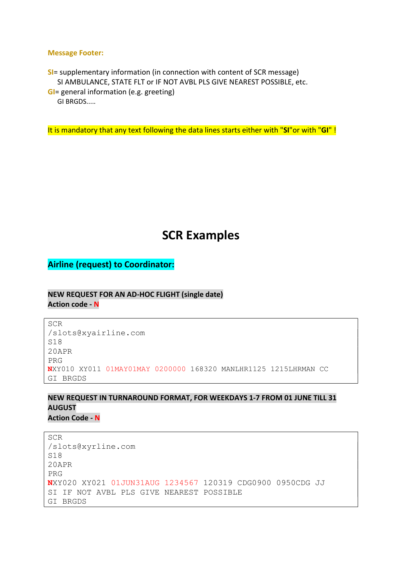#### Message Footer:

SI= supplementary information (in connection with content of SCR message) SI AMBULANCE, STATE FLT or IF NOT AVBL PLS GIVE NEAREST POSSIBLE, etc. GI= general information (e.g. greeting)

GI BRGDS.....

It is mandatory that any text following the data lines starts either with "SI"or with "GI"!

## SCR Examples

Airline (request) to Coordinator:

## NEW REQUEST FOR AN AD-HOC FLIGHT (single date) Action code - N

SCR /slots@xyairline.com S18 20APR PRG NXY010 XY011 01MAY01MAY 0200000 168320 MANLHR1125 1215LHRMAN CC GI BRGDS

#### NEW REQUEST IN TURNAROUND FORMAT, FOR WEEKDAYS 1-7 FROM 01 JUNE TILL 31 AUGUST **Action Code - N**

SCR /slots@xyrline.com S18 20APR PRG NXY020 XY021 01JUN31AUG 1234567 120319 CDG0900 0950CDG JJ SI IF NOT AVBL PLS GIVE NEAREST POSSIBLE GI BRGDS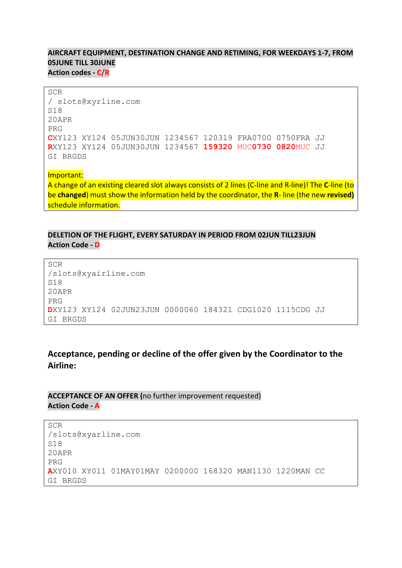## AIRCRAFT EQUIPMENT, DESTINATION CHANGE AND RETIMING, FOR WEEKDAYS 1-7, FROM 05JUNE TILL 30JUNE Action codes - C/R

SCR / slots@xyrline.com S18 20APR PRG CXY123 XY124 05JUN30JUN 1234567 120319 FRA0700 0750FRA JJ RXY123 XY124 05JUN30JUN 1234567 159320 MUC0730 0820MUC JJ GI BRGDS

Important: A change of an existing cleared slot always consists of 2 lines (C-line and R-line)! The C-line (to be changed) must show the information held by the coordinator, the R- line (the new revised) schedule information.

## DELETION OF THE FLIGHT, EVERY SATURDAY IN PERIOD FROM 02JUN TILL23JUN Action Code - D

SCR /slots@xyairline.com S18 20APR PRG DXY123 XY124 02JUN23JUN 0000060 184321 CDG1020 1115CDG JJ GI BRGDS

## Acceptance, pending or decline of the offer given by the Coordinator to the Airline:

## ACCEPTANCE OF AN OFFER (no further improvement requested) **Action Code - A**

```
SCR 
/slots@xyarline.com 
S18 
20APR 
PRG 
AXY010 XY011 01MAY01MAY 0200000 168320 MAN1130 1220MAN CC 
GI BRGDS
```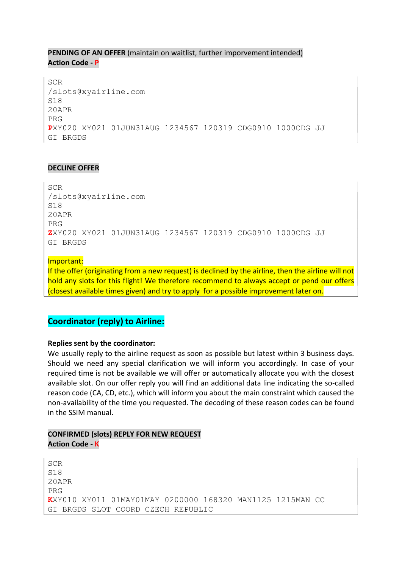## PENDING OF AN OFFER (maintain on waitlist, further imporvement intended) Action Code - P

SCR /slots@xyairline.com S18 20APR PRG PXY020 XY021 01JUN31AUG 1234567 120319 CDG0910 1000CDG JJ GI BRGDS

## DECLINE OFFER

SCR /slots@xyairline.com S18 20APR PRG ZXY020 XY021 01JUN31AUG 1234567 120319 CDG0910 1000CDG JJ GI BRGDS

Important:

If the offer (originating from a new request) is declined by the airline, then the airline will not hold any slots for this flight! We therefore recommend to always accept or pend our offers (closest available times given) and try to apply for a possible improvement later on.

## Coordinator (reply) to Airline:

#### Replies sent by the coordinator:

We usually reply to the airline request as soon as possible but latest within 3 business days. Should we need any special clarification we will inform you accordingly. In case of your required time is not be available we will offer or automatically allocate you with the closest available slot. On our offer reply you will find an additional data line indicating the so-called reason code (CA, CD, etc.), which will inform you about the main constraint which caused the non-availability of the time you requested. The decoding of these reason codes can be found in the SSIM manual.

## CONFIRMED (slots) REPLY FOR NEW REQUEST **Action Code - K**

SCR S18 20APR PRG KXY010 XY011 01MAY01MAY 0200000 168320 MAN1125 1215MAN CC GI BRGDS SLOT COORD CZECH REPUBLIC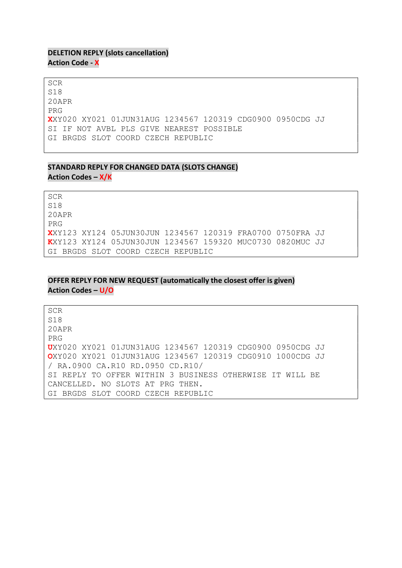## DELETION REPLY (slots cancellation) **Action Code - X**

SCR S18 20APR PRG XXY020 XY021 01JUN31AUG 1234567 120319 CDG0900 0950CDG JJ SI IF NOT AVBL PLS GIVE NEAREST POSSIBLE GI BRGDS SLOT COORD CZECH REPUBLIC

## STANDARD REPLY FOR CHANGED DATA (SLOTS CHANGE) Action Codes – X/K

SCR S18 20APR PRG XXY123 XY124 05JUN30JUN 1234567 120319 FRA0700 0750FRA JJ KXY123 XY124 05JUN30JUN 1234567 159320 MUC0730 0820MUC JJ GI BRGDS SLOT COORD CZECH REPUBLIC

## OFFER REPLY FOR NEW REQUEST (automatically the closest offer is given)

Action Codes – U/O

| <b>SCR</b>                                                       |
|------------------------------------------------------------------|
| S18                                                              |
| $20$ APR                                                         |
| PRG                                                              |
| UXY020 XY021 01JUN31AUG 1234567 120319 CDG0900 0950CDG JJ        |
| <b>OXY020 XY021 01JUN31AUG 1234567 120319 CDG0910 1000CDG JJ</b> |
| / RA.0900 CA.R10 RD.0950 CD.R10/                                 |
| SI REPLY TO OFFER WITHIN 3 BUSINESS OTHERWISE IT WILL BE         |
| CANCELLED. NO SLOTS AT PRG THEN.                                 |
| GI BRGDS SLOT COORD CZECH REPUBLIC                               |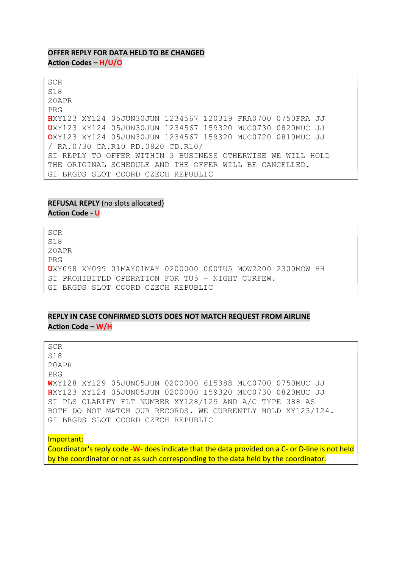#### OFFER REPLY FOR DATA HELD TO BE CHANGED Action Codes – H/U/O

SCR S18 20APR PRG HXY123 XY124 05JUN30JUN 1234567 120319 FRA0700 0750FRA JJ UXY123 XY124 05JUN30JUN 1234567 159320 MUC0730 0820MUC JJ OXY123 XY124 05JUN30JUN 1234567 159320 MUC0720 0810MUC JJ / RA.0730 CA.R10 RD.0820 CD.R10/ SI REPLY TO OFFER WITHIN 3 BUSINESS OTHERWISE WE WILL HOLD THE ORIGINAL SCHEDULE AND THE OFFER WILL BE CANCELLED. GI BRGDS SLOT COORD CZECH REPUBLIC

## REFUSAL REPLY (no slots allocated) Action Code - U

SCR S18 20APR PRG UXY098 XY099 01MAY01MAY 0200000 000TU5 MOW2200 2300MOW HH SI PROHIBITED OPERATION FOR TU5 – NIGHT CURFEW. GI BRGDS SLOT COORD CZECH REPUBLIC

## REPLY IN CASE CONFIRMED SLOTS DOES NOT MATCH REQUEST FROM AIRLINE Action Code – W/H

SCR

S18

20APR PRG

WXY128 XY129 05JUN05JUN 0200000 615388 MUC0700 0750MUC JJ HXY123 XY124 05JUN05JUN 0200000 159320 MUC0730 0820MUC JJ SI PLS CLARIFY FLT NUMBER XY128/129 AND A/C TYPE 388 AS BOTH DO NOT MATCH OUR RECORDS. WE CURRENTLY HOLD XY123/124. GI BRGDS SLOT COORD CZECH REPUBLIC

#### Important:

Coordinator's reply code -W- does indicate that the data provided on a C- or D-line is not held by the coordinator or not as such corresponding to the data held by the coordinator.